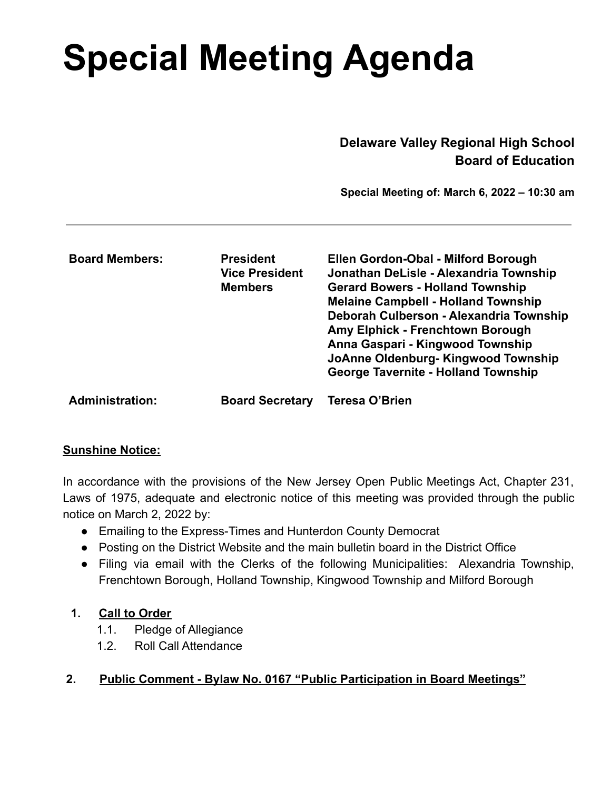# **Special Meeting Agenda**

**Delaware Valley Regional High School Board of Education**

**Special Meeting of: March 6, 2022 – 10:30 am**

| <b>Board Members:</b>  | <b>President</b><br><b>Vice President</b><br><b>Members</b> | Ellen Gordon-Obal - Milford Borough<br>Jonathan DeLisle - Alexandria Township<br><b>Gerard Bowers - Holland Township</b><br><b>Melaine Campbell - Holland Township</b><br>Deborah Culberson - Alexandria Township<br>Amy Elphick - Frenchtown Borough<br>Anna Gaspari - Kingwood Township<br>JoAnne Oldenburg-Kingwood Township<br><b>George Tavernite - Holland Township</b> |
|------------------------|-------------------------------------------------------------|-------------------------------------------------------------------------------------------------------------------------------------------------------------------------------------------------------------------------------------------------------------------------------------------------------------------------------------------------------------------------------|
| <b>Administration:</b> | <b>Board Secretary</b>                                      | Teresa O'Brien                                                                                                                                                                                                                                                                                                                                                                |

## **Sunshine Notice:**

In accordance with the provisions of the New Jersey Open Public Meetings Act, Chapter 231, Laws of 1975, adequate and electronic notice of this meeting was provided through the public notice on March 2, 2022 by:

- Emailing to the Express-Times and Hunterdon County Democrat
- Posting on the District Website and the main bulletin board in the District Office
- Filing via email with the Clerks of the following Municipalities: Alexandria Township, Frenchtown Borough, Holland Township, Kingwood Township and Milford Borough

## **1. Call to Order**

- 1.1. Pledge of Allegiance
- 1.2. Roll Call Attendance

## **2. Public Comment - Bylaw No. 0167 "Public Participation in Board Meetings"**